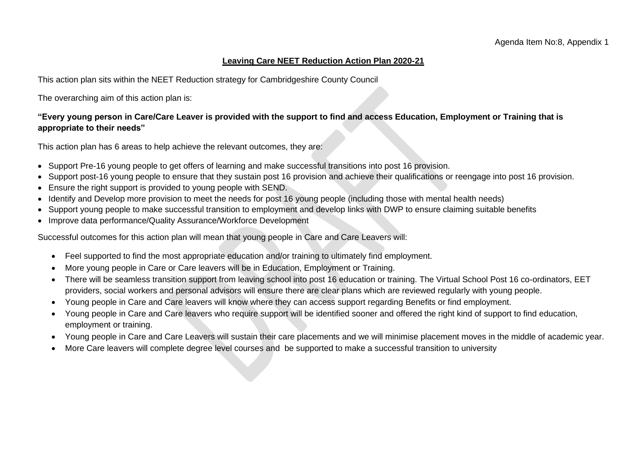#### **Leaving Care NEET Reduction Action Plan 2020-21**

This action plan sits within the NEET Reduction strategy for Cambridgeshire County Council

The overarching aim of this action plan is:

#### **"Every young person in Care/Care Leaver is provided with the support to find and access Education, Employment or Training that is appropriate to their needs"**

This action plan has 6 areas to help achieve the relevant outcomes, they are:

- Support Pre-16 young people to get offers of learning and make successful transitions into post 16 provision.
- Support post-16 young people to ensure that they sustain post 16 provision and achieve their qualifications or reengage into post 16 provision.
- Ensure the right support is provided to young people with SEND.
- Identify and Develop more provision to meet the needs for post 16 young people (including those with mental health needs)
- Support young people to make successful transition to employment and develop links with DWP to ensure claiming suitable benefits
- Improve data performance/Quality Assurance/Workforce Development

Successful outcomes for this action plan will mean that young people in Care and Care Leavers will:

- Feel supported to find the most appropriate education and/or training to ultimately find employment.
- More young people in Care or Care leavers will be in Education, Employment or Training.
- There will be seamless transition support from leaving school into post 16 education or training. The Virtual School Post 16 co-ordinators, EET providers, social workers and personal advisors will ensure there are clear plans which are reviewed regularly with young people.
- Young people in Care and Care leavers will know where they can access support regarding Benefits or find employment.
- Young people in Care and Care leavers who require support will be identified sooner and offered the right kind of support to find education, employment or training.
- Young people in Care and Care Leavers will sustain their care placements and we will minimise placement moves in the middle of academic year.
- More Care leavers will complete degree level courses and be supported to make a successful transition to university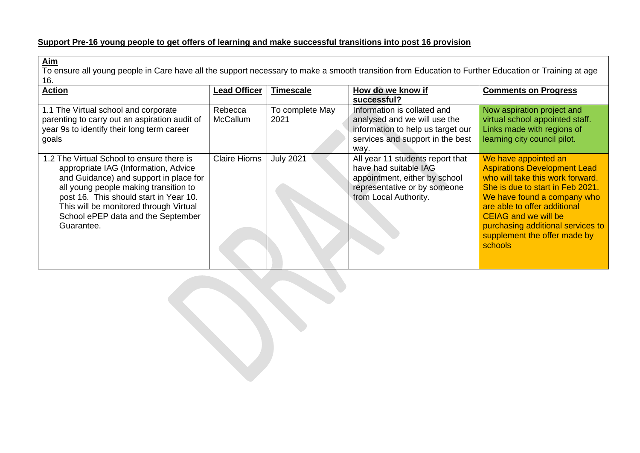## **Support Pre-16 young people to get offers of learning and make successful transitions into post 16 provision**

**Aim** To ensure all young people in Care have all the support necessary to make a smooth transition from Education to Further Education or Training at age 16.

| <b>Action</b>                                 | <b>Lead Officer</b>  | <b>Timescale</b> | How do we know if                 | <b>Comments on Progress</b>         |
|-----------------------------------------------|----------------------|------------------|-----------------------------------|-------------------------------------|
|                                               |                      |                  | successful?                       |                                     |
| 1.1 The Virtual school and corporate          | Rebecca              | To complete May  | Information is collated and       | Now aspiration project and          |
| parenting to carry out an aspiration audit of | <b>McCallum</b>      | 2021             | analysed and we will use the      | virtual school appointed staff.     |
| year 9s to identify their long term career    |                      |                  | information to help us target our | Links made with regions of          |
| goals                                         |                      |                  | services and support in the best  | learning city council pilot.        |
|                                               |                      |                  | way.                              |                                     |
| 1.2 The Virtual School to ensure there is     | <b>Claire Hiorns</b> | <b>July 2021</b> | All year 11 students report that  | We have appointed an                |
| appropriate IAG (Information, Advice          |                      |                  | have had suitable IAG             | <b>Aspirations Development Lead</b> |
| and Guidance) and support in place for        |                      |                  | appointment, either by school     | who will take this work forward.    |
| all young people making transition to         |                      |                  | representative or by someone      | She is due to start in Feb 2021.    |
| post 16. This should start in Year 10.        |                      |                  | from Local Authority.             | We have found a company who         |
| This will be monitored through Virtual        |                      |                  |                                   | are able to offer additional        |
| School ePEP data and the September            |                      |                  |                                   | <b>CEIAG and we will be</b>         |
| Guarantee.                                    |                      |                  |                                   | purchasing additional services to   |
|                                               |                      |                  |                                   | supplement the offer made by        |
|                                               |                      |                  |                                   | schools                             |
|                                               |                      |                  |                                   |                                     |
|                                               |                      |                  |                                   |                                     |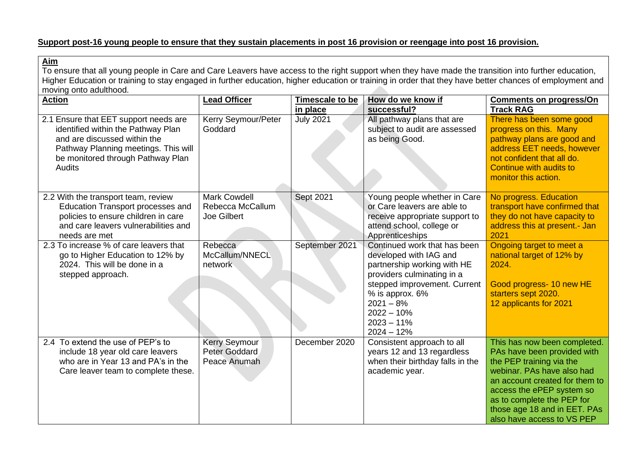### **Support post-16 young people to ensure that they sustain placements in post 16 provision or reengage into post 16 provision.**

**Aim** To ensure that all young people in Care and Care Leavers have access to the right support when they have made the transition into further education, Higher Education or training to stay engaged in further education, higher education or training in order that they have better chances of employment and moving onto adulthood.

| <b>Action</b>                                                                                                                                                                                             | <b>Lead Officer</b>                                    | <b>Timescale to be</b><br>in place | How do we know if<br>successful?                                                                                                                                                                                                      | <b>Comments on progress/On</b><br><b>Track RAG</b>                                                                                                                                                                                                                               |
|-----------------------------------------------------------------------------------------------------------------------------------------------------------------------------------------------------------|--------------------------------------------------------|------------------------------------|---------------------------------------------------------------------------------------------------------------------------------------------------------------------------------------------------------------------------------------|----------------------------------------------------------------------------------------------------------------------------------------------------------------------------------------------------------------------------------------------------------------------------------|
| 2.1 Ensure that EET support needs are<br>identified within the Pathway Plan<br>and are discussed within the<br>Pathway Planning meetings. This will<br>be monitored through Pathway Plan<br><b>Audits</b> | Kerry Seymour/Peter<br>Goddard                         | <b>July 2021</b>                   | All pathway plans that are<br>subject to audit are assessed<br>as being Good.                                                                                                                                                         | There has been some good<br>progress on this. Many<br>pathway plans are good and<br>address EET needs, however<br>not confident that all do.<br>Continue with audits to<br>monitor this action.                                                                                  |
| 2.2 With the transport team, review<br><b>Education Transport processes and</b><br>policies to ensure children in care<br>and care leavers vulnerabilities and<br>needs are met                           | <b>Mark Cowdell</b><br>Rebecca McCallum<br>Joe Gilbert | Sept 2021                          | Young people whether in Care<br>or Care leavers are able to<br>receive appropriate support to<br>attend school, college or<br>Apprenticeships                                                                                         | No progress. Education<br>transport have confirmed that<br>they do not have capacity to<br>address this at present.- Jan<br>2021                                                                                                                                                 |
| 2.3 To increase % of care leavers that<br>go to Higher Education to 12% by<br>2024. This will be done in a<br>stepped approach.                                                                           | Rebecca<br>McCallum/NNECL<br>network                   | September 2021                     | Continued work that has been<br>developed with IAG and<br>partnership working with HE<br>providers culminating in a<br>stepped improvement. Current<br>% is approx. 6%<br>$2021 - 8%$<br>$2022 - 10%$<br>$2023 - 11%$<br>$2024 - 12%$ | Ongoing target to meet a<br>national target of 12% by<br>2024.<br>Good progress- 10 new HE<br>starters sept 2020.<br>12 applicants for 2021                                                                                                                                      |
| 2.4 To extend the use of PEP's to<br>include 18 year old care leavers<br>who are in Year 13 and PA's in the<br>Care leaver team to complete these.                                                        | <b>Kerry Seymour</b><br>Peter Goddard<br>Peace Anumah  | December 2020                      | Consistent approach to all<br>years 12 and 13 regardless<br>when their birthday falls in the<br>academic year.                                                                                                                        | This has now been completed.<br>PAs have been provided with<br>the PEP training via the<br>webinar, PAs have also had<br>an account created for them to<br>access the ePEP system so<br>as to complete the PEP for<br>those age 18 and in EET. PAs<br>also have access to VS PEP |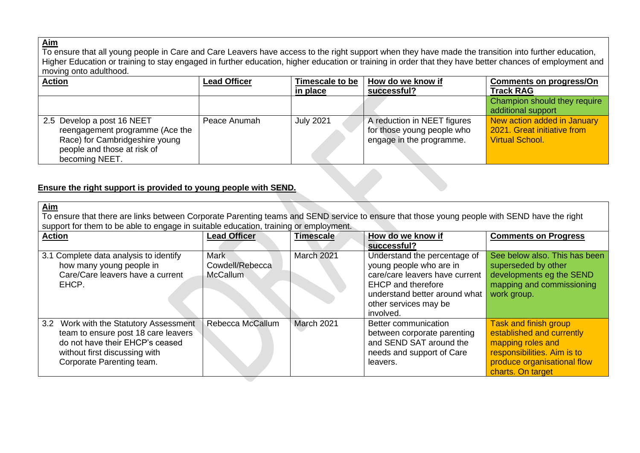#### **Aim**

To ensure that all young people in Care and Care Leavers have access to the right support when they have made the transition into further education, Higher Education or training to stay engaged in further education, higher education or training in order that they have better chances of employment and moving onto adulthood.

| <b>Action</b>                   | <b>Lead Officer</b> | Timescale to be  | How do we know if           | <b>Comments on progress/On</b> |
|---------------------------------|---------------------|------------------|-----------------------------|--------------------------------|
|                                 |                     | in place         | successful?                 | <b>Track RAG</b>               |
|                                 |                     |                  |                             | Champion should they require   |
|                                 |                     |                  |                             | additional support             |
| 2.5 Develop a post 16 NEET      | Peace Anumah        | <b>July 2021</b> | A reduction in NEET figures | New action added in January    |
| reengagement programme (Ace the |                     |                  | for those young people who  | 2021. Great initiative from    |
| Race) for Cambridgeshire young  |                     |                  | engage in the programme.    | <b>Virtual School.</b>         |
| people and those at risk of     |                     |                  |                             |                                |
| becoming NEET.                  |                     |                  |                             |                                |

## **Ensure the right support is provided to young people with SEND.**

| Aim<br>To ensure that there are links between Corporate Parenting teams and SEND service to ensure that those young people with SEND have the right<br>support for them to be able to engage in suitable education, training or employment. |                                                   |            |                                                                                                                                                                                               |                                                                                                                                                            |  |
|---------------------------------------------------------------------------------------------------------------------------------------------------------------------------------------------------------------------------------------------|---------------------------------------------------|------------|-----------------------------------------------------------------------------------------------------------------------------------------------------------------------------------------------|------------------------------------------------------------------------------------------------------------------------------------------------------------|--|
| <b>Action</b>                                                                                                                                                                                                                               | <b>Lead Officer</b>                               | Timescale  | How do we know if<br>successful?                                                                                                                                                              | <b>Comments on Progress</b>                                                                                                                                |  |
| 3.1 Complete data analysis to identify<br>how many young people in<br>Care/Care leavers have a current<br>EHCP.                                                                                                                             | <b>Mark</b><br>Cowdell/Rebecca<br><b>McCallum</b> | March 2021 | Understand the percentage of<br>young people who are in<br>care/care leavers have current<br><b>EHCP</b> and therefore<br>understand better around what<br>other services may be<br>involved. | See below also. This has been<br>superseded by other<br>developments eg the SEND<br>mapping and commissioning<br>work group.                               |  |
| 3.2 Work with the Statutory Assessment<br>team to ensure post 18 care leavers<br>do not have their EHCP's ceased<br>without first discussing with<br>Corporate Parenting team.                                                              | Rebecca McCallum                                  | March 2021 | Better communication<br>between corporate parenting<br>and SEND SAT around the<br>needs and support of Care<br>leavers.                                                                       | Task and finish group<br>established and currently<br>mapping roles and<br>responsibilities. Aim is to<br>produce organisational flow<br>charts. On target |  |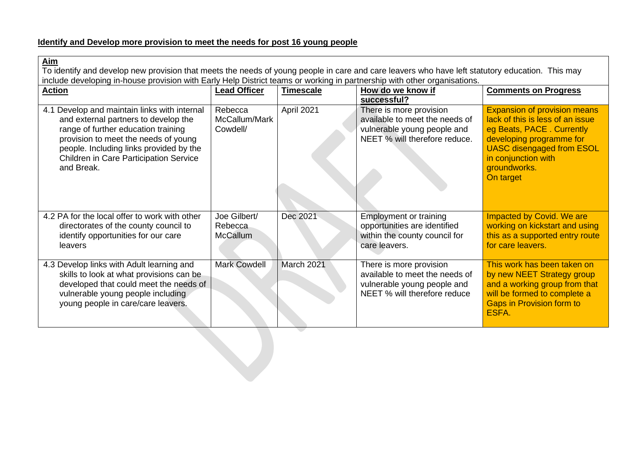# **Identify and Develop more provision to meet the needs for post 16 young people**

| Aim<br>To identify and develop new provision that meets the needs of young people in care and care leavers who have left statutory education. This may<br>include developing in-house provision with Early Help District teams or working in partnership with other organisations. |                                            |                  |                                                                                                                           |                                                                                                                                                                                                                          |  |
|------------------------------------------------------------------------------------------------------------------------------------------------------------------------------------------------------------------------------------------------------------------------------------|--------------------------------------------|------------------|---------------------------------------------------------------------------------------------------------------------------|--------------------------------------------------------------------------------------------------------------------------------------------------------------------------------------------------------------------------|--|
| <b>Action</b>                                                                                                                                                                                                                                                                      | <b>Lead Officer</b>                        | <b>Timescale</b> | How do we know if<br>successful?                                                                                          | <b>Comments on Progress</b>                                                                                                                                                                                              |  |
| 4.1 Develop and maintain links with internal<br>and external partners to develop the<br>range of further education training<br>provision to meet the needs of young<br>people. Including links provided by the<br>Children in Care Participation Service<br>and Break.             | Rebecca<br>McCallum/Mark<br>Cowdell/       | April 2021       | There is more provision<br>available to meet the needs of<br>vulnerable young people and<br>NEET % will therefore reduce. | <b>Expansion of provision means</b><br>lack of this is less of an issue<br>eg Beats, PACE. Currently<br>developing programme for<br><b>UASC disengaged from ESOL</b><br>in conjunction with<br>groundworks.<br>On target |  |
| 4.2 PA for the local offer to work with other<br>directorates of the county council to<br>identify opportunities for our care<br>leavers                                                                                                                                           | Joe Gilbert/<br>Rebecca<br><b>McCallum</b> | Dec 2021         | <b>Employment or training</b><br>opportunities are identified<br>within the county council for<br>care leavers.           | Impacted by Covid. We are<br>working on kickstart and using<br>this as a supported entry route<br>for care leavers.                                                                                                      |  |
| 4.3 Develop links with Adult learning and<br>skills to look at what provisions can be<br>developed that could meet the needs of<br>vulnerable young people including<br>young people in care/care leavers.                                                                         | <b>Mark Cowdell</b>                        | March 2021       | There is more provision<br>available to meet the needs of<br>vulnerable young people and<br>NEET % will therefore reduce  | This work has been taken on<br>by new NEET Strategy group<br>and a working group from that<br>will be formed to complete a<br><b>Gaps in Provision form to</b><br>ESFA.                                                  |  |

 $\overline{\phantom{a}}$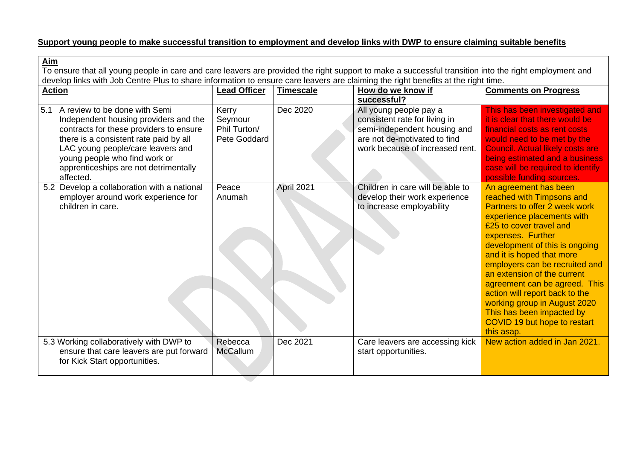# **Support young people to make successful transition to employment and develop links with DWP to ensure claiming suitable benefits**

| Aim<br>To ensure that all young people in care and care leavers are provided the right support to make a successful transition into the right employment and<br>develop links with Job Centre Plus to share information to ensure care leavers are claiming the right benefits at the right time. |                                                  |            |                                                                                                                                                            |                                                                                                                                                                                                                                                                                                                                                                                                                                                                                 |  |
|---------------------------------------------------------------------------------------------------------------------------------------------------------------------------------------------------------------------------------------------------------------------------------------------------|--------------------------------------------------|------------|------------------------------------------------------------------------------------------------------------------------------------------------------------|---------------------------------------------------------------------------------------------------------------------------------------------------------------------------------------------------------------------------------------------------------------------------------------------------------------------------------------------------------------------------------------------------------------------------------------------------------------------------------|--|
| <b>Action</b>                                                                                                                                                                                                                                                                                     | <b>Lead Officer</b>                              | Timescale  | How do we know if<br>successful?                                                                                                                           | <b>Comments on Progress</b>                                                                                                                                                                                                                                                                                                                                                                                                                                                     |  |
| A review to be done with Semi<br>5.1<br>Independent housing providers and the<br>contracts for these providers to ensure<br>there is a consistent rate paid by all<br>LAC young people/care leavers and<br>young people who find work or<br>apprenticeships are not detrimentally<br>affected.    | Kerry<br>Seymour<br>Phil Turton/<br>Pete Goddard | Dec 2020   | All young people pay a<br>consistent rate for living in<br>semi-independent housing and<br>are not de-motivated to find<br>work because of increased rent. | This has been investigated and<br>it is clear that there would be<br>financial costs as rent costs<br>would need to be met by the<br><b>Council. Actual likely costs are</b><br>being estimated and a business<br>case will be required to identify<br>possible funding sources.                                                                                                                                                                                                |  |
| 5.2 Develop a collaboration with a national<br>employer around work experience for<br>children in care.                                                                                                                                                                                           | Peace<br>Anumah                                  | April 2021 | Children in care will be able to<br>develop their work experience<br>to increase employability                                                             | An agreement has been<br>reached with Timpsons and<br>Partners to offer 2 week work<br>experience placements with<br>£25 to cover travel and<br>expenses. Further<br>development of this is ongoing<br>and it is hoped that more<br>employers can be recruited and<br>an extension of the current<br>agreement can be agreed. This<br>action will report back to the<br>working group in August 2020<br>This has been impacted by<br>COVID 19 but hope to restart<br>this asap. |  |
| 5.3 Working collaboratively with DWP to<br>ensure that care leavers are put forward<br>for Kick Start opportunities.                                                                                                                                                                              | Rebecca<br><b>McCallum</b>                       | Dec 2021   | Care leavers are accessing kick<br>start opportunities.                                                                                                    | New action added in Jan 2021.                                                                                                                                                                                                                                                                                                                                                                                                                                                   |  |